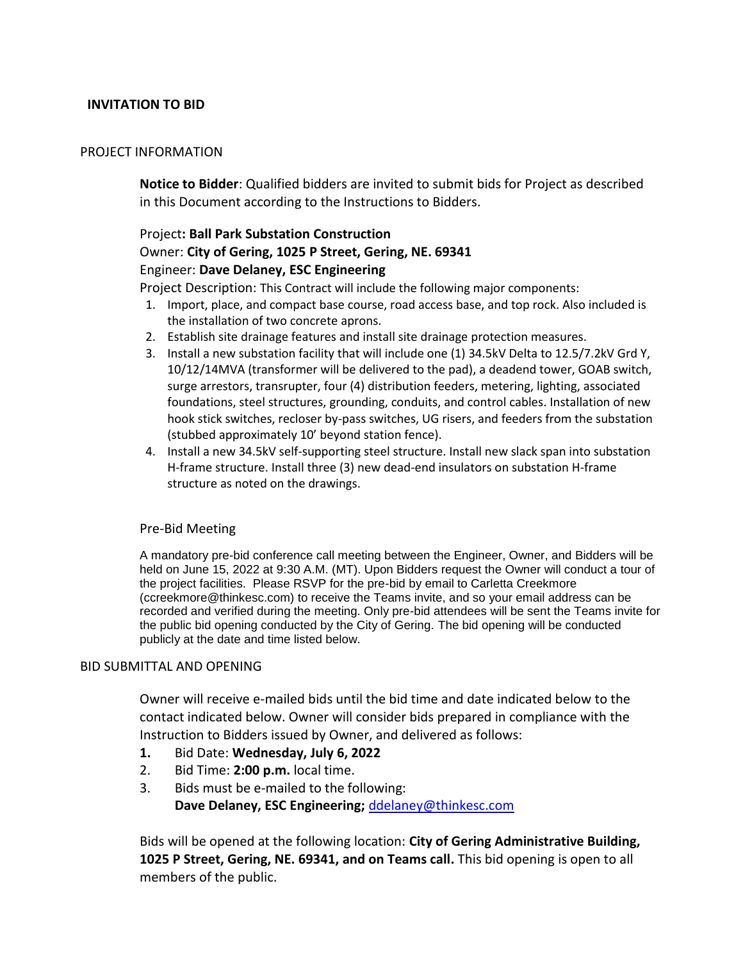# **INVITATION TO BID**

#### PROJECT INFORMATION

**Notice to Bidder**: Qualified bidders are invited to submit bids for Project as described in this Document according to the Instructions to Bidders.

# Project**: Ball Park Substation Construction** Owner: **City of Gering, 1025 P Street, Gering, NE. 69341** Engineer: **Dave Delaney, ESC Engineering**

Project Description: This Contract will include the following major components:

- 1. Import, place, and compact base course, road access base, and top rock. Also included is the installation of two concrete aprons.
- 2. Establish site drainage features and install site drainage protection measures.
- 3. Install a new substation facility that will include one (1) 34.5kV Delta to 12.5/7.2kV Grd Y, 10/12/14MVA (transformer will be delivered to the pad), a deadend tower, GOAB switch, surge arrestors, transrupter, four (4) distribution feeders, metering, lighting, associated foundations, steel structures, grounding, conduits, and control cables. Installation of new hook stick switches, recloser by-pass switches, UG risers, and feeders from the substation (stubbed approximately 10' beyond station fence).
- 4. Install a new 34.5kV self-supporting steel structure. Install new slack span into substation H-frame structure. Install three (3) new dead-end insulators on substation H-frame structure as noted on the drawings.

### Pre-Bid Meeting

A mandatory pre-bid conference call meeting between the Engineer, Owner, and Bidders will be held on June 15, 2022 at 9:30 A.M. (MT). Upon Bidders request the Owner will conduct a tour of the project facilities. Please RSVP for the pre-bid by email to Carletta Creekmore (ccreekmore@thinkesc.com) to receive the Teams invite, and so your email address can be recorded and verified during the meeting. Only pre-bid attendees will be sent the Teams invite for the public bid opening conducted by the City of Gering. The bid opening will be conducted publicly at the date and time listed below.

### BID SUBMITTAL AND OPENING

Owner will receive e-mailed bids until the bid time and date indicated below to the contact indicated below. Owner will consider bids prepared in compliance with the Instruction to Bidders issued by Owner, and delivered as follows:

- **1.** Bid Date: **Wednesday, July 6, 2022**
- 2. Bid Time: **2:00 p.m.** local time.
- 3. Bids must be e‐mailed to the following: **Dave Delaney, ESC Engineering;** [ddelaney@thinkesc.com](mailto:ddelaney@thinkesc.com)

Bids will be opened at the following location: **City of Gering Administrative Building, 1025 P Street, Gering, NE. 69341, and on Teams call.** This bid opening is open to all members of the public.